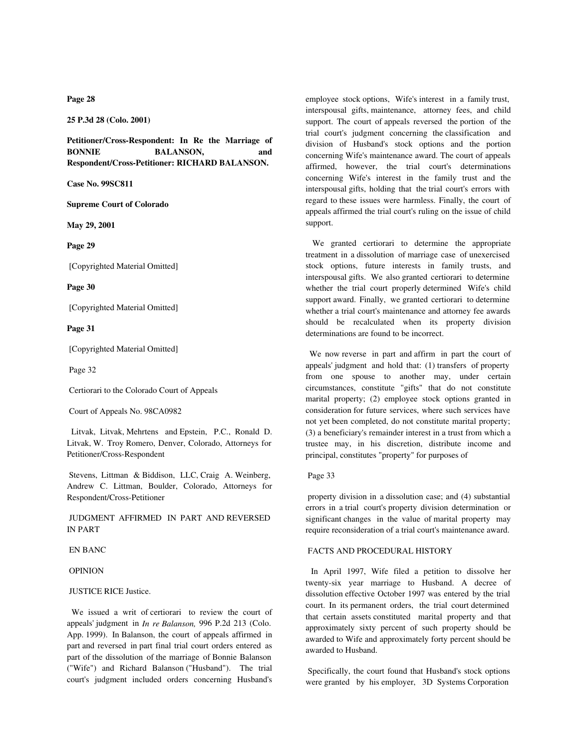**Page 28**

**25 P.3d 28 (Colo. 2001)**

**Petitioner/Cross-Respondent: In Re the Marriage of BONNIE BALANSON, and Respondent/Cross-Petitioner: RICHARD BALANSON.**

**Case No. 99SC811**

**Supreme Court of Colorado**

**May 29, 2001**

**Page 29**

[Copyrighted Material Omitted]

## **Page 30**

[Copyrighted Material Omitted]

### **Page 31**

[Copyrighted Material Omitted]

Page 32

Certiorari to the Colorado Court of Appeals

Court of Appeals No. 98CA0982

 Litvak, Litvak, Mehrtens and Epstein, P.C., Ronald D. Litvak, W. Troy Romero, Denver, Colorado, Attorneys for Petitioner/Cross-Respondent

 Stevens, Littman & Biddison, LLC, Craig A. Weinberg, Andrew C. Littman, Boulder, Colorado, Attorneys for Respondent/Cross-Petitioner

 JUDGMENT AFFIRMED IN PART AND REVERSED IN PART

## EN BANC

#### OPINION

# JUSTICE RICE Justice.

 We issued a writ of certiorari to review the court of appeals' judgment in *In re Balanson,* 996 P.2d 213 (Colo. App. 1999). In Balanson, the court of appeals affirmed in part and reversed in part final trial court orders entered as part of the dissolution of the marriage of Bonnie Balanson ("Wife") and Richard Balanson ("Husband"). The trial court's judgment included orders concerning Husband's employee stock options, Wife's interest in a family trust, interspousal gifts, maintenance, attorney fees, and child support. The court of appeals reversed the portion of the trial court's judgment concerning the classification and division of Husband's stock options and the portion concerning Wife's maintenance award. The court of appeals affirmed, however, the trial court's determinations concerning Wife's interest in the family trust and the interspousal gifts, holding that the trial court's errors with regard to these issues were harmless. Finally, the court of appeals affirmed the trial court's ruling on the issue of child support.

 We granted certiorari to determine the appropriate treatment in a dissolution of marriage case of unexercised stock options, future interests in family trusts, and interspousal gifts. We also granted certiorari to determine whether the trial court properly determined Wife's child support award. Finally, we granted certiorari to determine whether a trial court's maintenance and attorney fee awards should be recalculated when its property division determinations are found to be incorrect.

 We now reverse in part and affirm in part the court of appeals' judgment and hold that: (1) transfers of property from one spouse to another may, under certain circumstances, constitute "gifts" that do not constitute marital property; (2) employee stock options granted in consideration for future services, where such services have not yet been completed, do not constitute marital property; (3) a beneficiary's remainder interest in a trust from which a trustee may, in his discretion, distribute income and principal, constitutes "property" for purposes of

### Page 33

 property division in a dissolution case; and (4) substantial errors in a trial court's property division determination or significant changes in the value of marital property may require reconsideration of a trial court's maintenance award.

## FACTS AND PROCEDURAL HISTORY

 In April 1997, Wife filed a petition to dissolve her twenty-six year marriage to Husband. A decree of dissolution effective October 1997 was entered by the trial court. In its permanent orders, the trial court determined that certain assets constituted marital property and that approximately sixty percent of such property should be awarded to Wife and approximately forty percent should be awarded to Husband.

 Specifically, the court found that Husband's stock options were granted by his employer, 3D Systems Corporation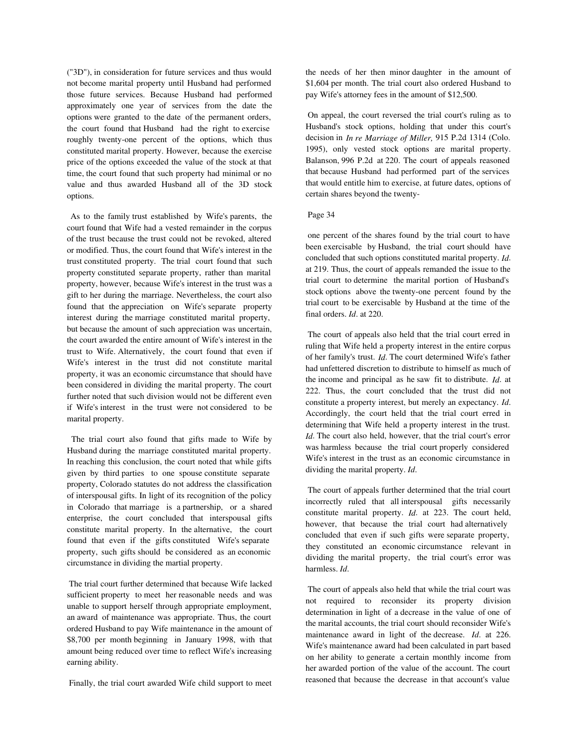("3D"), in consideration for future services and thus would not become marital property until Husband had performed those future services. Because Husband had performed approximately one year of services from the date the options were granted to the date of the permanent orders, the court found that Husband had the right to exercise roughly twenty-one percent of the options, which thus constituted marital property. However, because the exercise price of the options exceeded the value of the stock at that time, the court found that such property had minimal or no value and thus awarded Husband all of the 3D stock options.

 As to the family trust established by Wife's parents, the court found that Wife had a vested remainder in the corpus of the trust because the trust could not be revoked, altered or modified. Thus, the court found that Wife's interest in the trust constituted property. The trial court found that such property constituted separate property, rather than marital property, however, because Wife's interest in the trust was a gift to her during the marriage. Nevertheless, the court also found that the appreciation on Wife's separate property interest during the marriage constituted marital property, but because the amount of such appreciation was uncertain, the court awarded the entire amount of Wife's interest in the trust to Wife. Alternatively, the court found that even if Wife's interest in the trust did not constitute marital property, it was an economic circumstance that should have been considered in dividing the marital property. The court further noted that such division would not be different even if Wife's interest in the trust were not considered to be marital property.

 The trial court also found that gifts made to Wife by Husband during the marriage constituted marital property. In reaching this conclusion, the court noted that while gifts given by third parties to one spouse constitute separate property, Colorado statutes do not address the classification of interspousal gifts. In light of its recognition of the policy in Colorado that marriage is a partnership, or a shared enterprise, the court concluded that interspousal gifts constitute marital property. In the alternative, the court found that even if the gifts constituted Wife's separate property, such gifts should be considered as an economic circumstance in dividing the martial property.

 The trial court further determined that because Wife lacked sufficient property to meet her reasonable needs and was unable to support herself through appropriate employment, an award of maintenance was appropriate. Thus, the court ordered Husband to pay Wife maintenance in the amount of \$8,700 per month beginning in January 1998, with that amount being reduced over time to reflect Wife's increasing earning ability.

Finally, the trial court awarded Wife child support to meet

the needs of her then minor daughter in the amount of \$1,604 per month. The trial court also ordered Husband to pay Wife's attorney fees in the amount of \$12,500.

 On appeal, the court reversed the trial court's ruling as to Husband's stock options, holding that under this court's decision in *In re Marriage of Miller,* 915 P.2d 1314 (Colo. 1995), only vested stock options are marital property. Balanson, 996 P.2d at 220. The court of appeals reasoned that because Husband had performed part of the services that would entitle him to exercise, at future dates, options of certain shares beyond the twenty-

#### Page 34

 one percent of the shares found by the trial court to have been exercisable by Husband, the trial court should have concluded that such options constituted marital property. *Id*. at 219. Thus, the court of appeals remanded the issue to the trial court to determine the marital portion of Husband's stock options above the twenty-one percent found by the trial court to be exercisable by Husband at the time of the final orders. *Id*. at 220.

 The court of appeals also held that the trial court erred in ruling that Wife held a property interest in the entire corpus of her family's trust. *Id*. The court determined Wife's father had unfettered discretion to distribute to himself as much of the income and principal as he saw fit to distribute. *Id*. at 222. Thus, the court concluded that the trust did not constitute a property interest, but merely an expectancy. *Id*. Accordingly, the court held that the trial court erred in determining that Wife held a property interest in the trust. *Id*. The court also held, however, that the trial court's error was harmless because the trial court properly considered Wife's interest in the trust as an economic circumstance in dividing the marital property. *Id*.

 The court of appeals further determined that the trial court incorrectly ruled that all interspousal gifts necessarily constitute marital property. *Id*. at 223. The court held, however, that because the trial court had alternatively concluded that even if such gifts were separate property, they constituted an economic circumstance relevant in dividing the marital property, the trial court's error was harmless. *Id*.

 The court of appeals also held that while the trial court was not required to reconsider its property division determination in light of a decrease in the value of one of the marital accounts, the trial court should reconsider Wife's maintenance award in light of the decrease. *Id*. at 226. Wife's maintenance award had been calculated in part based on her ability to generate a certain monthly income from her awarded portion of the value of the account. The court reasoned that because the decrease in that account's value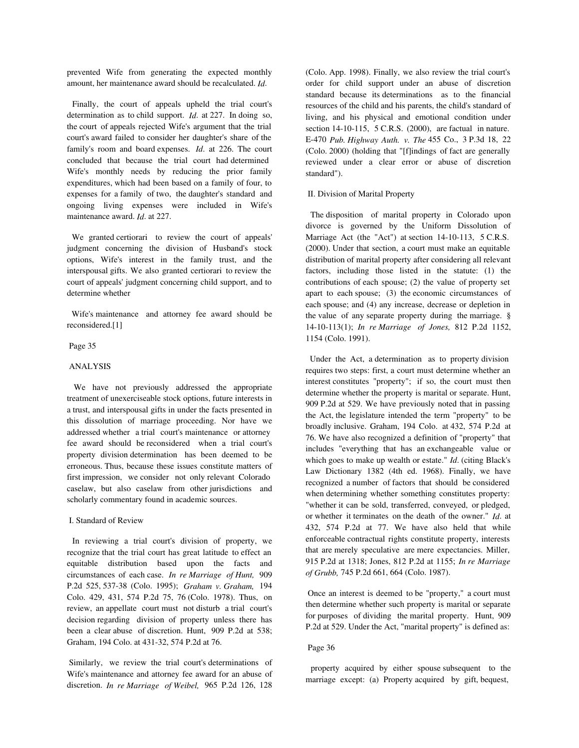prevented Wife from generating the expected monthly amount, her maintenance award should be recalculated. *Id*.

 Finally, the court of appeals upheld the trial court's determination as to child support. *Id*. at 227. In doing so, the court of appeals rejected Wife's argument that the trial court's award failed to consider her daughter's share of the family's room and board expenses. *Id*. at 226. The court concluded that because the trial court had determined Wife's monthly needs by reducing the prior family expenditures, which had been based on a family of four, to expenses for a family of two, the daughter's standard and ongoing living expenses were included in Wife's maintenance award. *Id*. at 227.

 We granted certiorari to review the court of appeals' judgment concerning the division of Husband's stock options, Wife's interest in the family trust, and the interspousal gifts. We also granted certiorari to review the court of appeals' judgment concerning child support, and to determine whether

 Wife's maintenance and attorney fee award should be reconsidered.[1]

### Page 35

### ANALYSIS

 We have not previously addressed the appropriate treatment of unexerciseable stock options, future interests in a trust, and interspousal gifts in under the facts presented in this dissolution of marriage proceeding. Nor have we addressed whether a trial court's maintenance or attorney fee award should be reconsidered when a trial court's property division determination has been deemed to be erroneous. Thus, because these issues constitute matters of first impression, we consider not only relevant Colorado caselaw, but also caselaw from other jurisdictions and scholarly commentary found in academic sources.

#### I. Standard of Review

 In reviewing a trial court's division of property, we recognize that the trial court has great latitude to effect an equitable distribution based upon the facts and circumstances of each case. *In re Marriage of Hunt,* 909 P.2d 525, 537-38 (Colo. 1995); *Graham v. Graham,* 194 Colo. 429, 431, 574 P.2d 75, 76 (Colo. 1978). Thus, on review, an appellate court must not disturb a trial court's decision regarding division of property unless there has been a clear abuse of discretion. Hunt, 909 P.2d at 538; Graham, 194 Colo. at 431-32, 574 P.2d at 76.

 Similarly, we review the trial court's determinations of Wife's maintenance and attorney fee award for an abuse of discretion. *In re Marriage of Weibel,* 965 P.2d 126, 128 (Colo. App. 1998). Finally, we also review the trial court's order for child support under an abuse of discretion standard because its determinations as to the financial resources of the child and his parents, the child's standard of living, and his physical and emotional condition under section 14-10-115, 5 C.R.S. (2000), are factual in nature. E-470 *Pub. Highway Auth. v. The* 455 Co., 3 P.3d 18, 22 (Colo. 2000) (holding that "[f]indings of fact are generally reviewed under a clear error or abuse of discretion standard").

#### II. Division of Marital Property

 The disposition of marital property in Colorado upon divorce is governed by the Uniform Dissolution of Marriage Act (the "Act") at section 14-10-113, 5 C.R.S. (2000). Under that section, a court must make an equitable distribution of marital property after considering all relevant factors, including those listed in the statute: (1) the contributions of each spouse; (2) the value of property set apart to each spouse; (3) the economic circumstances of each spouse; and (4) any increase, decrease or depletion in the value of any separate property during the marriage. § 14-10-113(1); *In re Marriage of Jones,* 812 P.2d 1152, 1154 (Colo. 1991).

 Under the Act, a determination as to property division requires two steps: first, a court must determine whether an interest constitutes "property"; if so, the court must then determine whether the property is marital or separate. Hunt, 909 P.2d at 529. We have previously noted that in passing the Act, the legislature intended the term "property" to be broadly inclusive. Graham, 194 Colo. at 432, 574 P.2d at 76. We have also recognized a definition of "property" that includes "everything that has an exchangeable value or which goes to make up wealth or estate." *Id*. (citing Black's Law Dictionary 1382 (4th ed. 1968). Finally, we have recognized a number of factors that should be considered when determining whether something constitutes property: "whether it can be sold, transferred, conveyed, or pledged, or whether it terminates on the death of the owner." *Id*. at 432, 574 P.2d at 77. We have also held that while enforceable contractual rights constitute property, interests that are merely speculative are mere expectancies. Miller, 915 P.2d at 1318; Jones, 812 P.2d at 1155; *In re Marriage of Grubb,* 745 P.2d 661, 664 (Colo. 1987).

 Once an interest is deemed to be "property," a court must then determine whether such property is marital or separate for purposes of dividing the marital property. Hunt, 909 P.2d at 529. Under the Act, "marital property" is defined as:

### Page 36

 property acquired by either spouse subsequent to the marriage except: (a) Property acquired by gift, bequest,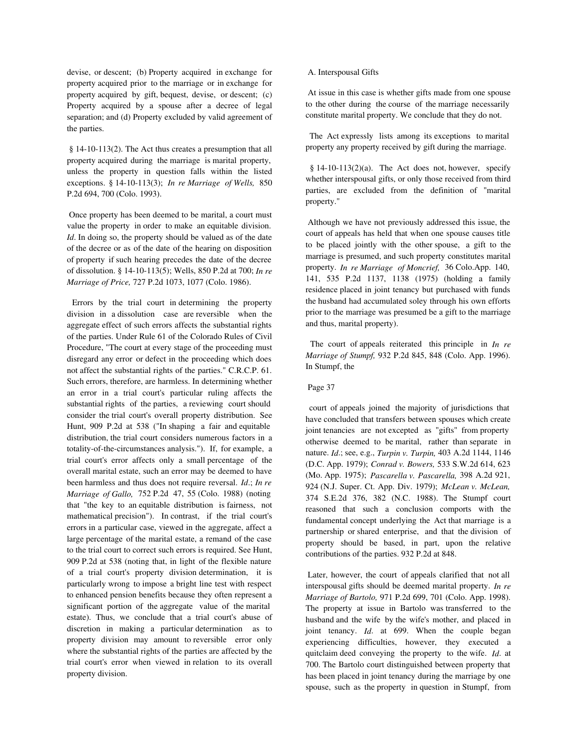devise, or descent; (b) Property acquired in exchange for property acquired prior to the marriage or in exchange for property acquired by gift, bequest, devise, or descent; (c) Property acquired by a spouse after a decree of legal separation; and (d) Property excluded by valid agreement of the parties.

 § 14-10-113(2). The Act thus creates a presumption that all property acquired during the marriage is marital property, unless the property in question falls within the listed exceptions. § 14-10-113(3); *In re Marriage of Wells,* 850 P.2d 694, 700 (Colo. 1993).

 Once property has been deemed to be marital, a court must value the property in order to make an equitable division. *Id*. In doing so, the property should be valued as of the date of the decree or as of the date of the hearing on disposition of property if such hearing precedes the date of the decree of dissolution. § 14-10-113(5); Wells, 850 P.2d at 700; *In re Marriage of Price,* 727 P.2d 1073, 1077 (Colo. 1986).

 Errors by the trial court in determining the property division in a dissolution case are reversible when the aggregate effect of such errors affects the substantial rights of the parties. Under Rule 61 of the Colorado Rules of Civil Procedure, "The court at every stage of the proceeding must disregard any error or defect in the proceeding which does not affect the substantial rights of the parties." C.R.C.P. 61. Such errors, therefore, are harmless. In determining whether an error in a trial court's particular ruling affects the substantial rights of the parties, a reviewing court should consider the trial court's overall property distribution. See Hunt, 909 P.2d at 538 ("In shaping a fair and equitable distribution, the trial court considers numerous factors in a totality-of-the-circumstances analysis."). If, for example, a trial court's error affects only a small percentage of the overall marital estate, such an error may be deemed to have been harmless and thus does not require reversal. *Id*.; *In re Marriage of Gallo,* 752 P.2d 47, 55 (Colo. 1988) (noting that "the key to an equitable distribution is fairness, not mathematical precision"). In contrast, if the trial court's errors in a particular case, viewed in the aggregate, affect a large percentage of the marital estate, a remand of the case to the trial court to correct such errors is required. See Hunt, 909 P.2d at 538 (noting that, in light of the flexible nature of a trial court's property division determination, it is particularly wrong to impose a bright line test with respect to enhanced pension benefits because they often represent a significant portion of the aggregate value of the marital estate). Thus, we conclude that a trial court's abuse of discretion in making a particular determination as to property division may amount to reversible error only where the substantial rights of the parties are affected by the trial court's error when viewed in relation to its overall property division.

## A. Interspousal Gifts

 At issue in this case is whether gifts made from one spouse to the other during the course of the marriage necessarily constitute marital property. We conclude that they do not.

 The Act expressly lists among its exceptions to marital property any property received by gift during the marriage.

 $§$  14-10-113(2)(a). The Act does not, however, specify whether interspousal gifts, or only those received from third parties, are excluded from the definition of "marital property."

 Although we have not previously addressed this issue, the court of appeals has held that when one spouse causes title to be placed jointly with the other spouse, a gift to the marriage is presumed, and such property constitutes marital property. *In re Marriage of Moncrief,* 36 Colo.App. 140, 141, 535 P.2d 1137, 1138 (1975) (holding a family residence placed in joint tenancy but purchased with funds the husband had accumulated soley through his own efforts prior to the marriage was presumed be a gift to the marriage and thus, marital property).

 The court of appeals reiterated this principle in *In re Marriage of Stumpf,* 932 P.2d 845, 848 (Colo. App. 1996). In Stumpf, the

## Page 37

 court of appeals joined the majority of jurisdictions that have concluded that transfers between spouses which create joint tenancies are not excepted as "gifts" from property otherwise deemed to be marital, rather than separate in nature. *Id*.; see, e.g., *Turpin v. Turpin,* 403 A.2d 1144, 1146 (D.C. App. 1979); *Conrad v. Bowers,* 533 S.W.2d 614, 623 (Mo. App. 1975); *Pascarella v. Pascarella,* 398 A.2d 921, 924 (N.J. Super. Ct. App. Div. 1979); *McLean v. McLean,* 374 S.E.2d 376, 382 (N.C. 1988). The Stumpf court reasoned that such a conclusion comports with the fundamental concept underlying the Act that marriage is a partnership or shared enterprise, and that the division of property should be based, in part, upon the relative contributions of the parties. 932 P.2d at 848.

 Later, however, the court of appeals clarified that not all interspousal gifts should be deemed marital property. *In re Marriage of Bartolo,* 971 P.2d 699, 701 (Colo. App. 1998). The property at issue in Bartolo was transferred to the husband and the wife by the wife's mother, and placed in joint tenancy. *Id*. at 699. When the couple began experiencing difficulties, however, they executed a quitclaim deed conveying the property to the wife. *Id*. at 700. The Bartolo court distinguished between property that has been placed in joint tenancy during the marriage by one spouse, such as the property in question in Stumpf, from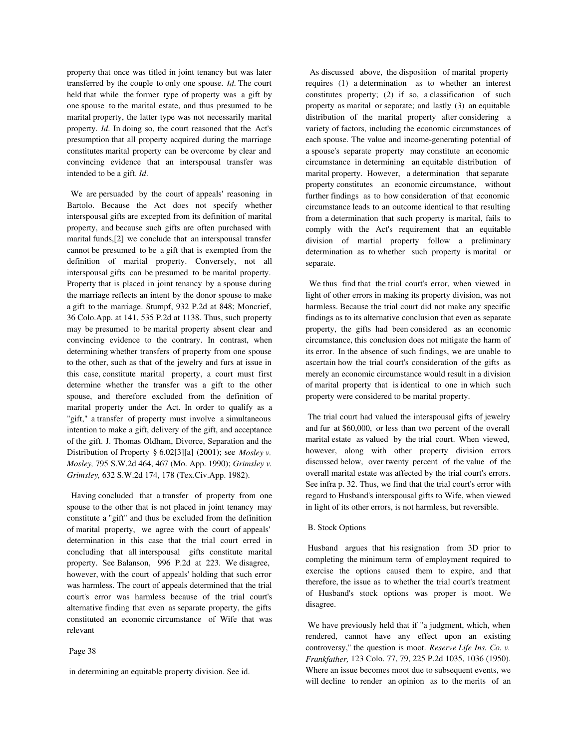property that once was titled in joint tenancy but was later transferred by the couple to only one spouse. *Id*. The court held that while the former type of property was a gift by one spouse to the marital estate, and thus presumed to be marital property, the latter type was not necessarily marital property. *Id*. In doing so, the court reasoned that the Act's presumption that all property acquired during the marriage constitutes marital property can be overcome by clear and convincing evidence that an interspousal transfer was intended to be a gift. *Id*.

 We are persuaded by the court of appeals' reasoning in Bartolo. Because the Act does not specify whether interspousal gifts are excepted from its definition of marital property, and because such gifts are often purchased with marital funds,[2] we conclude that an interspousal transfer cannot be presumed to be a gift that is exempted from the definition of marital property. Conversely, not all interspousal gifts can be presumed to be marital property. Property that is placed in joint tenancy by a spouse during the marriage reflects an intent by the donor spouse to make a gift to the marriage. Stumpf, 932 P.2d at 848; Moncrief, 36 Colo.App. at 141, 535 P.2d at 1138. Thus, such property may be presumed to be marital property absent clear and convincing evidence to the contrary. In contrast, when determining whether transfers of property from one spouse to the other, such as that of the jewelry and furs at issue in this case, constitute marital property, a court must first determine whether the transfer was a gift to the other spouse, and therefore excluded from the definition of marital property under the Act. In order to qualify as a "gift," a transfer of property must involve a simultaneous intention to make a gift, delivery of the gift, and acceptance of the gift. J. Thomas Oldham, Divorce, Separation and the Distribution of Property § 6.02[3][a] (2001); see *Mosley v. Mosley,* 795 S.W.2d 464, 467 (Mo. App. 1990); *Grimsley v. Grimsley,* 632 S.W.2d 174, 178 (Tex.Civ.App. 1982).

 Having concluded that a transfer of property from one spouse to the other that is not placed in joint tenancy may constitute a "gift" and thus be excluded from the definition of marital property, we agree with the court of appeals' determination in this case that the trial court erred in concluding that all interspousal gifts constitute marital property. See Balanson, 996 P.2d at 223. We disagree, however, with the court of appeals' holding that such error was harmless. The court of appeals determined that the trial court's error was harmless because of the trial court's alternative finding that even as separate property, the gifts constituted an economic circumstance of Wife that was relevant

#### Page 38

in determining an equitable property division. See id.

 As discussed above, the disposition of marital property requires (1) a determination as to whether an interest constitutes property; (2) if so, a classification of such property as marital or separate; and lastly (3) an equitable distribution of the marital property after considering a variety of factors, including the economic circumstances of each spouse. The value and income-generating potential of a spouse's separate property may constitute an economic circumstance in determining an equitable distribution of marital property. However, a determination that separate property constitutes an economic circumstance, without further findings as to how consideration of that economic circumstance leads to an outcome identical to that resulting from a determination that such property is marital, fails to comply with the Act's requirement that an equitable division of martial property follow a preliminary determination as to whether such property is marital or separate.

 We thus find that the trial court's error, when viewed in light of other errors in making its property division, was not harmless. Because the trial court did not make any specific findings as to its alternative conclusion that even as separate property, the gifts had been considered as an economic circumstance, this conclusion does not mitigate the harm of its error. In the absence of such findings, we are unable to ascertain how the trial court's consideration of the gifts as merely an economic circumstance would result in a division of marital property that is identical to one in which such property were considered to be marital property.

 The trial court had valued the interspousal gifts of jewelry and fur at \$60,000, or less than two percent of the overall marital estate as valued by the trial court. When viewed, however, along with other property division errors discussed below, over twenty percent of the value of the overall marital estate was affected by the trial court's errors. See infra p. 32. Thus, we find that the trial court's error with regard to Husband's interspousal gifts to Wife, when viewed in light of its other errors, is not harmless, but reversible.

### B. Stock Options

 Husband argues that his resignation from 3D prior to completing the minimum term of employment required to exercise the options caused them to expire, and that therefore, the issue as to whether the trial court's treatment of Husband's stock options was proper is moot. We disagree.

 We have previously held that if "a judgment, which, when rendered, cannot have any effect upon an existing controversy," the question is moot. *Reserve Life Ins. Co. v. Frankfather,* 123 Colo. 77, 79, 225 P.2d 1035, 1036 (1950). Where an issue becomes moot due to subsequent events, we will decline to render an opinion as to the merits of an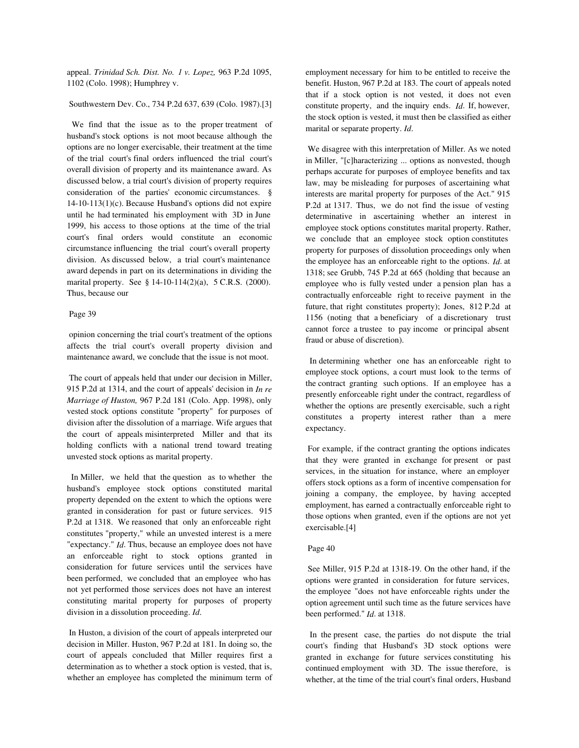appeal. *Trinidad Sch. Dist. No. 1 v. Lopez,* 963 P.2d 1095, 1102 (Colo. 1998); Humphrey v.

### Southwestern Dev. Co., 734 P.2d 637, 639 (Colo. 1987).[3]

 We find that the issue as to the proper treatment of husband's stock options is not moot because although the options are no longer exercisable, their treatment at the time of the trial court's final orders influenced the trial court's overall division of property and its maintenance award. As discussed below, a trial court's division of property requires consideration of the parties' economic circumstances. § 14-10-113(1)(c). Because Husband's options did not expire until he had terminated his employment with 3D in June 1999, his access to those options at the time of the trial court's final orders would constitute an economic circumstance influencing the trial court's overall property division. As discussed below, a trial court's maintenance award depends in part on its determinations in dividing the marital property. See § 14-10-114(2)(a), 5 C.R.S. (2000). Thus, because our

#### Page 39

 opinion concerning the trial court's treatment of the options affects the trial court's overall property division and maintenance award, we conclude that the issue is not moot.

 The court of appeals held that under our decision in Miller, 915 P.2d at 1314, and the court of appeals' decision in *In re Marriage of Huston,* 967 P.2d 181 (Colo. App. 1998), only vested stock options constitute "property" for purposes of division after the dissolution of a marriage. Wife argues that the court of appeals misinterpreted Miller and that its holding conflicts with a national trend toward treating unvested stock options as marital property.

 In Miller, we held that the question as to whether the husband's employee stock options constituted marital property depended on the extent to which the options were granted in consideration for past or future services. 915 P.2d at 1318. We reasoned that only an enforceable right constitutes "property," while an unvested interest is a mere "expectancy." *Id*. Thus, because an employee does not have an enforceable right to stock options granted in consideration for future services until the services have been performed, we concluded that an employee who has not yet performed those services does not have an interest constituting marital property for purposes of property division in a dissolution proceeding. *Id*.

 In Huston, a division of the court of appeals interpreted our decision in Miller. Huston, 967 P.2d at 181. In doing so, the court of appeals concluded that Miller requires first a determination as to whether a stock option is vested, that is, whether an employee has completed the minimum term of employment necessary for him to be entitled to receive the benefit. Huston, 967 P.2d at 183. The court of appeals noted that if a stock option is not vested, it does not even constitute property, and the inquiry ends. *Id*. If, however, the stock option is vested, it must then be classified as either marital or separate property. *Id*.

 We disagree with this interpretation of Miller. As we noted in Miller, "[c]haracterizing ... options as nonvested, though perhaps accurate for purposes of employee benefits and tax law, may be misleading for purposes of ascertaining what interests are marital property for purposes of the Act." 915 P.2d at 1317. Thus, we do not find the issue of vesting determinative in ascertaining whether an interest in employee stock options constitutes marital property. Rather, we conclude that an employee stock option constitutes property for purposes of dissolution proceedings only when the employee has an enforceable right to the options. *Id*. at 1318; see Grubb, 745 P.2d at 665 (holding that because an employee who is fully vested under a pension plan has a contractually enforceable right to receive payment in the future, that right constitutes property); Jones, 812 P.2d at 1156 (noting that a beneficiary of a discretionary trust cannot force a trustee to pay income or principal absent fraud or abuse of discretion).

 In determining whether one has an enforceable right to employee stock options, a court must look to the terms of the contract granting such options. If an employee has a presently enforceable right under the contract, regardless of whether the options are presently exercisable, such a right constitutes a property interest rather than a mere expectancy.

 For example, if the contract granting the options indicates that they were granted in exchange for present or past services, in the situation for instance, where an employer offers stock options as a form of incentive compensation for joining a company, the employee, by having accepted employment, has earned a contractually enforceable right to those options when granted, even if the options are not yet exercisable.[4]

### Page 40

 See Miller, 915 P.2d at 1318-19. On the other hand, if the options were granted in consideration for future services, the employee "does not have enforceable rights under the option agreement until such time as the future services have been performed." *Id*. at 1318.

 In the present case, the parties do not dispute the trial court's finding that Husband's 3D stock options were granted in exchange for future services constituting his continued employment with 3D. The issue therefore, is whether, at the time of the trial court's final orders, Husband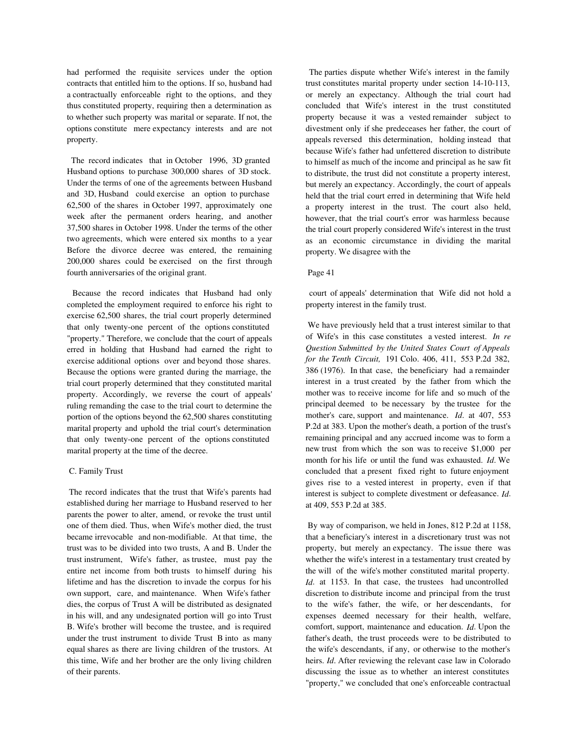had performed the requisite services under the option contracts that entitled him to the options. If so, husband had a contractually enforceable right to the options, and they thus constituted property, requiring then a determination as to whether such property was marital or separate. If not, the options constitute mere expectancy interests and are not property.

 The record indicates that in October 1996, 3D granted Husband options to purchase 300,000 shares of 3D stock. Under the terms of one of the agreements between Husband and 3D, Husband could exercise an option to purchase 62,500 of the shares in October 1997, approximately one week after the permanent orders hearing, and another 37,500 shares in October 1998. Under the terms of the other two agreements, which were entered six months to a year Before the divorce decree was entered, the remaining 200,000 shares could be exercised on the first through fourth anniversaries of the original grant.

 Because the record indicates that Husband had only completed the employment required to enforce his right to exercise 62,500 shares, the trial court properly determined that only twenty-one percent of the options constituted "property." Therefore, we conclude that the court of appeals erred in holding that Husband had earned the right to exercise additional options over and beyond those shares. Because the options were granted during the marriage, the trial court properly determined that they constituted marital property. Accordingly, we reverse the court of appeals' ruling remanding the case to the trial court to determine the portion of the options beyond the 62,500 shares constituting marital property and uphold the trial court's determination that only twenty-one percent of the options constituted marital property at the time of the decree.

## C. Family Trust

 The record indicates that the trust that Wife's parents had established during her marriage to Husband reserved to her parents the power to alter, amend, or revoke the trust until one of them died. Thus, when Wife's mother died, the trust became irrevocable and non-modifiable. At that time, the trust was to be divided into two trusts, A and B. Under the trust instrument, Wife's father, as trustee, must pay the entire net income from both trusts to himself during his lifetime and has the discretion to invade the corpus for his own support, care, and maintenance. When Wife's father dies, the corpus of Trust A will be distributed as designated in his will, and any undesignated portion will go into Trust B. Wife's brother will become the trustee, and is required under the trust instrument to divide Trust B into as many equal shares as there are living children of the trustors. At this time, Wife and her brother are the only living children of their parents.

 The parties dispute whether Wife's interest in the family trust constitutes marital property under section 14-10-113, or merely an expectancy. Although the trial court had concluded that Wife's interest in the trust constituted property because it was a vested remainder subject to divestment only if she predeceases her father, the court of appeals reversed this determination, holding instead that because Wife's father had unfettered discretion to distribute to himself as much of the income and principal as he saw fit to distribute, the trust did not constitute a property interest, but merely an expectancy. Accordingly, the court of appeals held that the trial court erred in determining that Wife held a property interest in the trust. The court also held, however, that the trial court's error was harmless because the trial court properly considered Wife's interest in the trust as an economic circumstance in dividing the marital property. We disagree with the

### Page 41

 court of appeals' determination that Wife did not hold a property interest in the family trust.

 We have previously held that a trust interest similar to that of Wife's in this case constitutes a vested interest. *In re Question Submitted by the United States Court of Appeals for the Tenth Circuit,* 191 Colo. 406, 411, 553 P.2d 382, 386 (1976). In that case, the beneficiary had a remainder interest in a trust created by the father from which the mother was to receive income for life and so much of the principal deemed to be necessary by the trustee for the mother's care, support and maintenance. *Id*. at 407, 553 P.2d at 383. Upon the mother's death, a portion of the trust's remaining principal and any accrued income was to form a new trust from which the son was to receive \$1,000 per month for his life or until the fund was exhausted. *Id*. We concluded that a present fixed right to future enjoyment gives rise to a vested interest in property, even if that interest is subject to complete divestment or defeasance. *Id*. at 409, 553 P.2d at 385.

 By way of comparison, we held in Jones, 812 P.2d at 1158, that a beneficiary's interest in a discretionary trust was not property, but merely an expectancy. The issue there was whether the wife's interest in a testamentary trust created by the will of the wife's mother constituted marital property. *Id.* at 1153. In that case, the trustees had uncontrolled discretion to distribute income and principal from the trust to the wife's father, the wife, or her descendants, for expenses deemed necessary for their health, welfare, comfort, support, maintenance and education. *Id*. Upon the father's death, the trust proceeds were to be distributed to the wife's descendants, if any, or otherwise to the mother's heirs. *Id*. After reviewing the relevant case law in Colorado discussing the issue as to whether an interest constitutes "property," we concluded that one's enforceable contractual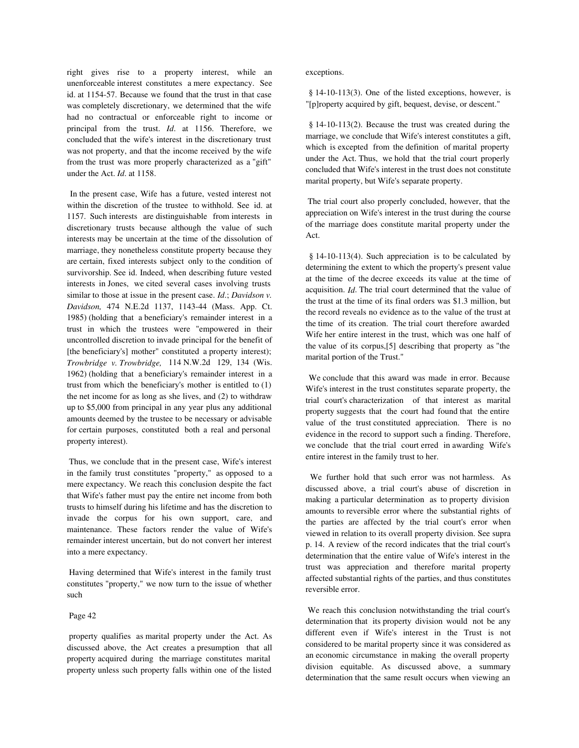right gives rise to a property interest, while an unenforceable interest constitutes a mere expectancy. See id. at 1154-57. Because we found that the trust in that case was completely discretionary, we determined that the wife had no contractual or enforceable right to income or principal from the trust. *Id*. at 1156. Therefore, we concluded that the wife's interest in the discretionary trust was not property, and that the income received by the wife from the trust was more properly characterized as a "gift" under the Act. *Id*. at 1158.

 In the present case, Wife has a future, vested interest not within the discretion of the trustee to withhold. See id. at 1157. Such interests are distinguishable from interests in discretionary trusts because although the value of such interests may be uncertain at the time of the dissolution of marriage, they nonetheless constitute property because they are certain, fixed interests subject only to the condition of survivorship. See id. Indeed, when describing future vested interests in Jones, we cited several cases involving trusts similar to those at issue in the present case. *Id*.; *Davidson v. Davidson,* 474 N.E.2d 1137, 1143-44 (Mass. App. Ct. 1985) (holding that a beneficiary's remainder interest in a trust in which the trustees were "empowered in their uncontrolled discretion to invade principal for the benefit of [the beneficiary's] mother" constituted a property interest); *Trowbridge v. Trowbridge,* 114 N.W.2d 129, 134 (Wis. 1962) (holding that a beneficiary's remainder interest in a trust from which the beneficiary's mother is entitled to (1) the net income for as long as she lives, and (2) to withdraw up to \$5,000 from principal in any year plus any additional amounts deemed by the trustee to be necessary or advisable for certain purposes, constituted both a real and personal property interest).

 Thus, we conclude that in the present case, Wife's interest in the family trust constitutes "property," as opposed to a mere expectancy. We reach this conclusion despite the fact that Wife's father must pay the entire net income from both trusts to himself during his lifetime and has the discretion to invade the corpus for his own support, care, and maintenance. These factors render the value of Wife's remainder interest uncertain, but do not convert her interest into a mere expectancy.

 Having determined that Wife's interest in the family trust constitutes "property," we now turn to the issue of whether such

## Page 42

 property qualifies as marital property under the Act. As discussed above, the Act creates a presumption that all property acquired during the marriage constitutes marital property unless such property falls within one of the listed

exceptions.

 § 14-10-113(3). One of the listed exceptions, however, is "[p]roperty acquired by gift, bequest, devise, or descent."

 § 14-10-113(2). Because the trust was created during the marriage, we conclude that Wife's interest constitutes a gift, which is excepted from the definition of marital property under the Act. Thus, we hold that the trial court properly concluded that Wife's interest in the trust does not constitute marital property, but Wife's separate property.

 The trial court also properly concluded, however, that the appreciation on Wife's interest in the trust during the course of the marriage does constitute marital property under the Act.

 § 14-10-113(4). Such appreciation is to be calculated by determining the extent to which the property's present value at the time of the decree exceeds its value at the time of acquisition. *Id*. The trial court determined that the value of the trust at the time of its final orders was \$1.3 million, but the record reveals no evidence as to the value of the trust at the time of its creation. The trial court therefore awarded Wife her entire interest in the trust, which was one half of the value of its corpus,[5] describing that property as "the marital portion of the Trust."

 We conclude that this award was made in error. Because Wife's interest in the trust constitutes separate property, the trial court's characterization of that interest as marital property suggests that the court had found that the entire value of the trust constituted appreciation. There is no evidence in the record to support such a finding. Therefore, we conclude that the trial court erred in awarding Wife's entire interest in the family trust to her.

 We further hold that such error was not harmless. As discussed above, a trial court's abuse of discretion in making a particular determination as to property division amounts to reversible error where the substantial rights of the parties are affected by the trial court's error when viewed in relation to its overall property division. See supra p. 14. A review of the record indicates that the trial court's determination that the entire value of Wife's interest in the trust was appreciation and therefore marital property affected substantial rights of the parties, and thus constitutes reversible error.

 We reach this conclusion notwithstanding the trial court's determination that its property division would not be any different even if Wife's interest in the Trust is not considered to be marital property since it was considered as an economic circumstance in making the overall property division equitable. As discussed above, a summary determination that the same result occurs when viewing an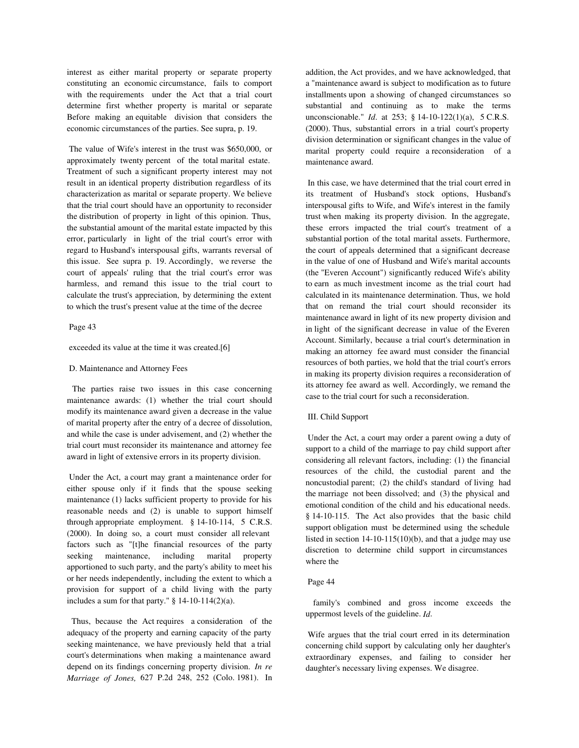interest as either marital property or separate property constituting an economic circumstance, fails to comport with the requirements under the Act that a trial court determine first whether property is marital or separate Before making an equitable division that considers the economic circumstances of the parties. See supra, p. 19.

 The value of Wife's interest in the trust was \$650,000, or approximately twenty percent of the total marital estate. Treatment of such a significant property interest may not result in an identical property distribution regardless of its characterization as marital or separate property. We believe that the trial court should have an opportunity to reconsider the distribution of property in light of this opinion. Thus, the substantial amount of the marital estate impacted by this error, particularly in light of the trial court's error with regard to Husband's interspousal gifts, warrants reversal of this issue. See supra p. 19. Accordingly, we reverse the court of appeals' ruling that the trial court's error was harmless, and remand this issue to the trial court to calculate the trust's appreciation, by determining the extent to which the trust's present value at the time of the decree

## Page 43

exceeded its value at the time it was created.[6]

#### D. Maintenance and Attorney Fees

 The parties raise two issues in this case concerning maintenance awards: (1) whether the trial court should modify its maintenance award given a decrease in the value of marital property after the entry of a decree of dissolution, and while the case is under advisement, and (2) whether the trial court must reconsider its maintenance and attorney fee award in light of extensive errors in its property division.

 Under the Act, a court may grant a maintenance order for either spouse only if it finds that the spouse seeking maintenance (1) lacks sufficient property to provide for his reasonable needs and (2) is unable to support himself through appropriate employment. § 14-10-114, 5 C.R.S. (2000). In doing so, a court must consider all relevant factors such as "[t]he financial resources of the party seeking maintenance, including marital property apportioned to such party, and the party's ability to meet his or her needs independently, including the extent to which a provision for support of a child living with the party includes a sum for that party."  $§$  14-10-114(2)(a).

 Thus, because the Act requires a consideration of the adequacy of the property and earning capacity of the party seeking maintenance, we have previously held that a trial court's determinations when making a maintenance award depend on its findings concerning property division. *In re Marriage of Jones,* 627 P.2d 248, 252 (Colo. 1981). In addition, the Act provides, and we have acknowledged, that a "maintenance award is subject to modification as to future installments upon a showing of changed circumstances so substantial and continuing as to make the terms unconscionable." *Id*. at 253; § 14-10-122(1)(a), 5 C.R.S. (2000). Thus, substantial errors in a trial court's property division determination or significant changes in the value of marital property could require a reconsideration of a maintenance award.

 In this case, we have determined that the trial court erred in its treatment of Husband's stock options, Husband's interspousal gifts to Wife, and Wife's interest in the family trust when making its property division. In the aggregate, these errors impacted the trial court's treatment of a substantial portion of the total marital assets. Furthermore, the court of appeals determined that a significant decrease in the value of one of Husband and Wife's marital accounts (the "Everen Account") significantly reduced Wife's ability to earn as much investment income as the trial court had calculated in its maintenance determination. Thus, we hold that on remand the trial court should reconsider its maintenance award in light of its new property division and in light of the significant decrease in value of the Everen Account. Similarly, because a trial court's determination in making an attorney fee award must consider the financial resources of both parties, we hold that the trial court's errors in making its property division requires a reconsideration of its attorney fee award as well. Accordingly, we remand the case to the trial court for such a reconsideration.

## III. Child Support

 Under the Act, a court may order a parent owing a duty of support to a child of the marriage to pay child support after considering all relevant factors, including: (1) the financial resources of the child, the custodial parent and the noncustodial parent; (2) the child's standard of living had the marriage not been dissolved; and (3) the physical and emotional condition of the child and his educational needs. § 14-10-115. The Act also provides that the basic child support obligation must be determined using the schedule listed in section 14-10-115(10)(b), and that a judge may use discretion to determine child support in circumstances where the

# Page 44

 family's combined and gross income exceeds the uppermost levels of the guideline. *Id*.

 Wife argues that the trial court erred in its determination concerning child support by calculating only her daughter's extraordinary expenses, and failing to consider her daughter's necessary living expenses. We disagree.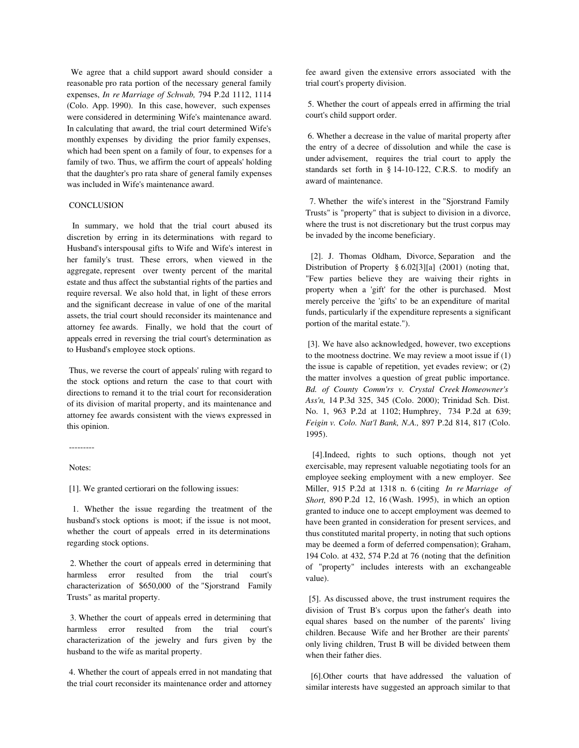We agree that a child support award should consider a reasonable pro rata portion of the necessary general family expenses, *In re Marriage of Schwab,* 794 P.2d 1112, 1114 (Colo. App. 1990). In this case, however, such expenses were considered in determining Wife's maintenance award. In calculating that award, the trial court determined Wife's monthly expenses by dividing the prior family expenses, which had been spent on a family of four, to expenses for a family of two. Thus, we affirm the court of appeals' holding that the daughter's pro rata share of general family expenses was included in Wife's maintenance award.

# **CONCLUSION**

 In summary, we hold that the trial court abused its discretion by erring in its determinations with regard to Husband's interspousal gifts to Wife and Wife's interest in her family's trust. These errors, when viewed in the aggregate, represent over twenty percent of the marital estate and thus affect the substantial rights of the parties and require reversal. We also hold that, in light of these errors and the significant decrease in value of one of the marital assets, the trial court should reconsider its maintenance and attorney fee awards. Finally, we hold that the court of appeals erred in reversing the trial court's determination as to Husband's employee stock options.

 Thus, we reverse the court of appeals' ruling with regard to the stock options and return the case to that court with directions to remand it to the trial court for reconsideration of its division of marital property, and its maintenance and attorney fee awards consistent with the views expressed in this opinion.

---------

Notes:

[1]. We granted certiorari on the following issues:

 1. Whether the issue regarding the treatment of the husband's stock options is moot; if the issue is not moot, whether the court of appeals erred in its determinations regarding stock options.

 2. Whether the court of appeals erred in determining that harmless error resulted from the trial court's characterization of \$650,000 of the "Sjorstrand Family Trusts" as marital property.

 3. Whether the court of appeals erred in determining that harmless error resulted from the trial court's characterization of the jewelry and furs given by the husband to the wife as marital property.

 4. Whether the court of appeals erred in not mandating that the trial court reconsider its maintenance order and attorney

fee award given the extensive errors associated with the trial court's property division.

 5. Whether the court of appeals erred in affirming the trial court's child support order.

 6. Whether a decrease in the value of marital property after the entry of a decree of dissolution and while the case is under advisement, requires the trial court to apply the standards set forth in § 14-10-122, C.R.S. to modify an award of maintenance.

 7. Whether the wife's interest in the "Sjorstrand Family Trusts" is "property" that is subject to division in a divorce, where the trust is not discretionary but the trust corpus may be invaded by the income beneficiary.

 [2]. J. Thomas Oldham, Divorce, Separation and the Distribution of Property § 6.02[3][a] (2001) (noting that, "Few parties believe they are waiving their rights in property when a 'gift' for the other is purchased. Most merely perceive the 'gifts' to be an expenditure of marital funds, particularly if the expenditure represents a significant portion of the marital estate.").

 [3]. We have also acknowledged, however, two exceptions to the mootness doctrine. We may review a moot issue if (1) the issue is capable of repetition, yet evades review; or (2) the matter involves a question of great public importance. *Bd. of County Comm'rs v. Crystal Creek Homeowner's Ass'n,* 14 P.3d 325, 345 (Colo. 2000); Trinidad Sch. Dist. No. 1, 963 P.2d at 1102; Humphrey, 734 P.2d at 639; *Feigin v. Colo. Nat'l Bank, N.A.,* 897 P.2d 814, 817 (Colo. 1995).

 [4].Indeed, rights to such options, though not yet exercisable, may represent valuable negotiating tools for an employee seeking employment with a new employer. See Miller, 915 P.2d at 1318 n. 6 (citing *In re Marriage of Short,* 890 P.2d 12, 16 (Wash. 1995), in which an option granted to induce one to accept employment was deemed to have been granted in consideration for present services, and thus constituted marital property, in noting that such options may be deemed a form of deferred compensation); Graham, 194 Colo. at 432, 574 P.2d at 76 (noting that the definition of "property" includes interests with an exchangeable value).

 [5]. As discussed above, the trust instrument requires the division of Trust B's corpus upon the father's death into equal shares based on the number of the parents' living children. Because Wife and her Brother are their parents' only living children, Trust B will be divided between them when their father dies.

 [6].Other courts that have addressed the valuation of similar interests have suggested an approach similar to that